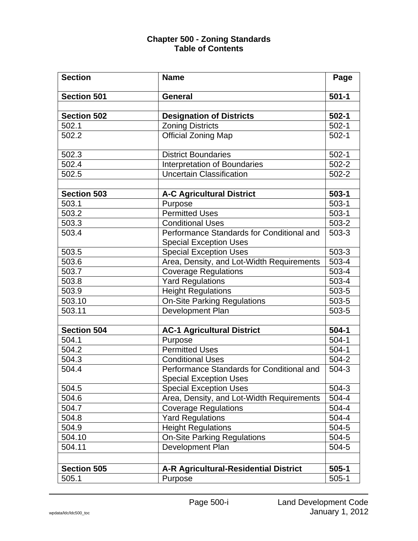| <b>Section</b>     | <b>Name</b>                                                                | Page      |
|--------------------|----------------------------------------------------------------------------|-----------|
| <b>Section 501</b> | <b>General</b>                                                             | $501 - 1$ |
|                    |                                                                            |           |
| <b>Section 502</b> | <b>Designation of Districts</b>                                            | $502 - 1$ |
| 502.1              | <b>Zoning Districts</b>                                                    | $502-1$   |
| 502.2              | <b>Official Zoning Map</b>                                                 | $502-1$   |
| 502.3              | <b>District Boundaries</b>                                                 | $502-1$   |
| 502.4              | <b>Interpretation of Boundaries</b>                                        | $502 - 2$ |
| 502.5              | <b>Uncertain Classification</b>                                            | $502 - 2$ |
|                    |                                                                            |           |
| <b>Section 503</b> | <b>A-C Agricultural District</b>                                           | $503 - 1$ |
| 503.1              | Purpose                                                                    | $503-1$   |
| 503.2              | <b>Permitted Uses</b>                                                      | $503-1$   |
| 503.3              | <b>Conditional Uses</b>                                                    | $503 - 2$ |
| 503.4              | Performance Standards for Conditional and                                  | 503-3     |
|                    | <b>Special Exception Uses</b>                                              |           |
| 503.5              | <b>Special Exception Uses</b>                                              | $503-3$   |
| $503.\overline{6}$ | Area, Density, and Lot-Width Requirements                                  | 503-4     |
| 503.7              | <b>Coverage Regulations</b>                                                | 503-4     |
| 503.8              | <b>Yard Regulations</b>                                                    | 503-4     |
| 503.9              | <b>Height Regulations</b>                                                  | 503-5     |
| 503.10             | <b>On-Site Parking Regulations</b>                                         | 503-5     |
| 503.11             | Development Plan                                                           | 503-5     |
|                    |                                                                            |           |
| <b>Section 504</b> | <b>AC-1 Agricultural District</b>                                          | $504-1$   |
| 504.1              | Purpose                                                                    | $504-1$   |
| 504.2              | <b>Permitted Uses</b>                                                      | $504-1$   |
| 504.3              | <b>Conditional Uses</b>                                                    | 504-2     |
| 504.4              | Performance Standards for Conditional and<br><b>Special Exception Uses</b> | $504-3$   |
| 504.5              | <b>Special Exception Uses</b>                                              | $504-3$   |
| 504.6              | Area, Density, and Lot-Width Requirements                                  | 504-4     |
| 504.7              | <b>Coverage Regulations</b>                                                | 504-4     |
| 504.8              | <b>Yard Regulations</b>                                                    | 504-4     |
| 504.9              | <b>Height Regulations</b>                                                  | 504-5     |
| 504.10             | <b>On-Site Parking Regulations</b>                                         | 504-5     |
| 504.11             | Development Plan                                                           | 504-5     |
|                    |                                                                            |           |
|                    |                                                                            |           |
| <b>Section 505</b> | <b>A-R Agricultural-Residential District</b>                               | $505 - 1$ |
| 505.1              | Purpose                                                                    | $505-1$   |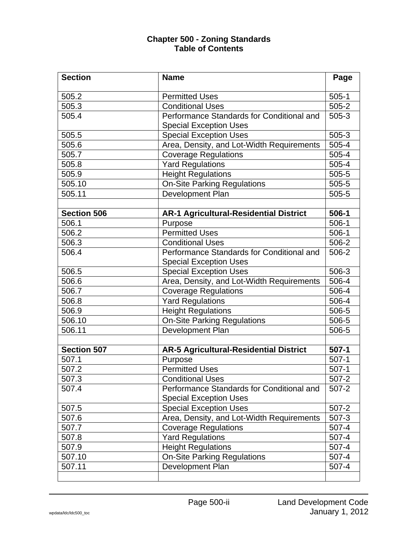| <b>Section</b>     | <b>Name</b>                                                                | Page      |
|--------------------|----------------------------------------------------------------------------|-----------|
| 505.2              | <b>Permitted Uses</b>                                                      | $505-1$   |
| 505.3              | <b>Conditional Uses</b>                                                    | $505 - 2$ |
| 505.4              | Performance Standards for Conditional and<br><b>Special Exception Uses</b> | $505 - 3$ |
| 505.5              | <b>Special Exception Uses</b>                                              | $505-3$   |
| 505.6              | Area, Density, and Lot-Width Requirements                                  | 505-4     |
| 505.7              | <b>Coverage Regulations</b>                                                | 505-4     |
| 505.8              | <b>Yard Regulations</b>                                                    | 505-4     |
| 505.9              | <b>Height Regulations</b>                                                  | 505-5     |
| 505.10             | <b>On-Site Parking Regulations</b>                                         | $505 - 5$ |
| 505.11             | Development Plan                                                           | 505-5     |
|                    |                                                                            |           |
| <b>Section 506</b> | <b>AR-1 Agricultural-Residential District</b>                              | 506-1     |
| 506.1              | Purpose                                                                    | $506-1$   |
| 506.2              | <b>Permitted Uses</b>                                                      | $506-1$   |
| 506.3              | <b>Conditional Uses</b>                                                    | 506-2     |
| 506.4              | Performance Standards for Conditional and                                  | 506-2     |
|                    | <b>Special Exception Uses</b>                                              |           |
| 506.5              | <b>Special Exception Uses</b>                                              | 506-3     |
| 506.6              | Area, Density, and Lot-Width Requirements                                  | 506-4     |
| 506.7              | <b>Coverage Regulations</b>                                                | 506-4     |
| 506.8              | <b>Yard Regulations</b>                                                    | 506-4     |
| 506.9              | <b>Height Regulations</b>                                                  | 506-5     |
| 506.10             | <b>On-Site Parking Regulations</b>                                         | 506-5     |
| 506.11             | Development Plan                                                           | 506-5     |
|                    |                                                                            |           |
| <b>Section 507</b> | <b>AR-5 Agricultural-Residential District</b>                              | $507-1$   |
| 507.1              | Purpose                                                                    | $507-1$   |
| 507.2              | <b>Permitted Uses</b>                                                      | $507-1$   |
| 507.3              | <b>Conditional Uses</b>                                                    | 507-2     |
| 507.4              | Performance Standards for Conditional and<br><b>Special Exception Uses</b> | $507 - 2$ |
| 507.5              | <b>Special Exception Uses</b>                                              | $507 - 2$ |
| 507.6              | Area, Density, and Lot-Width Requirements                                  | $507 - 3$ |
| 507.7              | <b>Coverage Regulations</b>                                                | $507 - 4$ |
| 507.8              | <b>Yard Regulations</b>                                                    | $507 - 4$ |
| 507.9              | <b>Height Regulations</b>                                                  | 507-4     |
| 507.10             | <b>On-Site Parking Regulations</b>                                         | 507-4     |
| 507.11             | <b>Development Plan</b>                                                    | $507 - 4$ |
|                    |                                                                            |           |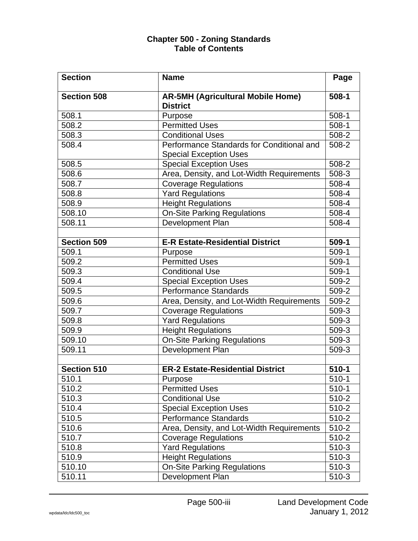| <b>Section</b>     | <b>Name</b>                                                                | Page      |
|--------------------|----------------------------------------------------------------------------|-----------|
| <b>Section 508</b> | <b>AR-5MH (Agricultural Mobile Home)</b><br><b>District</b>                | $508 - 1$ |
| 508.1              | Purpose                                                                    | $508-1$   |
| 508.2              | <b>Permitted Uses</b>                                                      | $508-1$   |
| 508.3              | <b>Conditional Uses</b>                                                    | 508-2     |
| 508.4              | Performance Standards for Conditional and<br><b>Special Exception Uses</b> | 508-2     |
| 508.5              | <b>Special Exception Uses</b>                                              | 508-2     |
| 508.6              | Area, Density, and Lot-Width Requirements                                  | $508-3$   |
| 508.7              | <b>Coverage Regulations</b>                                                | 508-4     |
| 508.8              | <b>Yard Regulations</b>                                                    | 508-4     |
| 508.9              | <b>Height Regulations</b>                                                  | 508-4     |
| 508.10             | <b>On-Site Parking Regulations</b>                                         | 508-4     |
| 508.11             | Development Plan                                                           | 508-4     |
|                    |                                                                            |           |
| <b>Section 509</b> | <b>E-R Estate-Residential District</b>                                     | 509-1     |
| 509.1              | Purpose                                                                    | $509-1$   |
| 509.2              | <b>Permitted Uses</b>                                                      | $509-1$   |
| 509.3              | <b>Conditional Use</b>                                                     | $509-1$   |
| 509.4              | <b>Special Exception Uses</b>                                              | 509-2     |
| 509.5              | <b>Performance Standards</b>                                               | 509-2     |
| 509.6              | Area, Density, and Lot-Width Requirements                                  | 509-2     |
| 509.7              | <b>Coverage Regulations</b>                                                | 509-3     |
| 509.8              | <b>Yard Regulations</b>                                                    | 509-3     |
| 509.9              | <b>Height Regulations</b>                                                  | $509-3$   |
| 509.10             | <b>On-Site Parking Regulations</b>                                         | 509-3     |
| 509.11             | <b>Development Plan</b>                                                    | 509-3     |
| <b>Section 510</b> | <b>ER-2 Estate-Residential District</b>                                    | $510-1$   |
| 510.1              | Purpose                                                                    | 510-1     |
| 510.2              | <b>Permitted Uses</b>                                                      | $510-1$   |
| 510.3              | <b>Conditional Use</b>                                                     | $510 - 2$ |
| 510.4              | <b>Special Exception Uses</b>                                              | 510-2     |
| 510.5              | <b>Performance Standards</b>                                               | 510-2     |
| 510.6              | Area, Density, and Lot-Width Requirements                                  | $510 - 2$ |
| 510.7              | <b>Coverage Regulations</b>                                                | $510 - 2$ |
| 510.8              | <b>Yard Regulations</b>                                                    | $510-3$   |
| 510.9              | <b>Height Regulations</b>                                                  | $510-3$   |
| 510.10             | <b>On-Site Parking Regulations</b>                                         | $510-3$   |
| 510.11             | Development Plan                                                           | $510-3$   |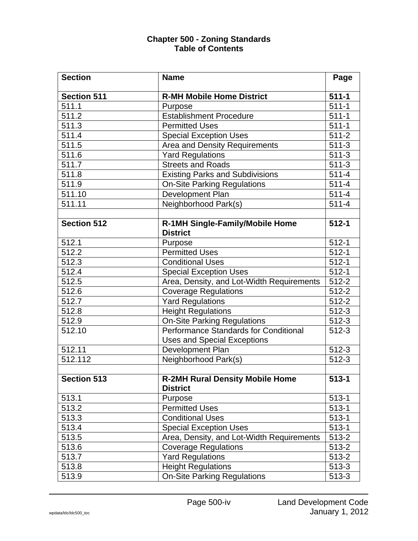| <b>Section</b>      | <b>Name</b>                                                                        | Page      |
|---------------------|------------------------------------------------------------------------------------|-----------|
| <b>Section 511</b>  | <b>R-MH Mobile Home District</b>                                                   | $511 - 1$ |
| 511.1               | Purpose                                                                            | $511 - 1$ |
| 511.2               | <b>Establishment Procedure</b>                                                     | $511 - 1$ |
| 511.3               | <b>Permitted Uses</b>                                                              | $511 - 1$ |
| 511.4               | <b>Special Exception Uses</b>                                                      | $511 - 2$ |
| 511.5               | Area and Density Requirements                                                      | $511-3$   |
| 511.6               | <b>Yard Regulations</b>                                                            | $511-3$   |
| 511.7               | <b>Streets and Roads</b>                                                           | $511-3$   |
| 511.8               | <b>Existing Parks and Subdivisions</b>                                             | $511 - 4$ |
| 511.9               | <b>On-Site Parking Regulations</b>                                                 | $511 - 4$ |
| 511.10              | Development Plan                                                                   | $511 - 4$ |
| $\overline{5}11.11$ | Neighborhood Park(s)                                                               | $511 - 4$ |
| <b>Section 512</b>  | R-1MH Single-Family/Mobile Home<br><b>District</b>                                 | $512 - 1$ |
| 512.1               | Purpose                                                                            | $512 - 1$ |
| 512.2               | Permitted Uses                                                                     | $512 - 1$ |
| 512.3               | <b>Conditional Uses</b>                                                            | $512 - 1$ |
| 512.4               | <b>Special Exception Uses</b>                                                      | $512 - 1$ |
| 512.5               | Area, Density, and Lot-Width Requirements                                          | $512 - 2$ |
| 512.6               | <b>Coverage Regulations</b>                                                        | 512-2     |
| 512.7               | <b>Yard Regulations</b>                                                            | $512 - 2$ |
| 512.8               | <b>Height Regulations</b>                                                          | $512 - 3$ |
| 512.9               | <b>On-Site Parking Regulations</b>                                                 | $512 - 3$ |
| 512.10              | <b>Performance Standards for Conditional</b><br><b>Uses and Special Exceptions</b> | $512 - 3$ |
| 512.11              | Development Plan                                                                   | $512 - 3$ |
| 512.112             | Neighborhood Park(s)                                                               | $512 - 3$ |
|                     |                                                                                    |           |
| <b>Section 513</b>  | <b>R-2MH Rural Density Mobile Home</b><br><b>District</b>                          | $513 - 1$ |
| 513.1               | Purpose                                                                            | $513 - 1$ |
| 513.2               | <b>Permitted Uses</b>                                                              | $513 - 1$ |
| 513.3               | <b>Conditional Uses</b>                                                            | $513 - 1$ |
| 513.4               | <b>Special Exception Uses</b>                                                      | $513 - 1$ |
| 513.5               | Area, Density, and Lot-Width Requirements                                          | $513 - 2$ |
| 513.6               | Coverage Regulations                                                               | 513-2     |
| 513.7               | <b>Yard Regulations</b>                                                            | $513 - 2$ |
| 513.8               | <b>Height Regulations</b>                                                          | $513 - 3$ |
| 513.9               | <b>On-Site Parking Regulations</b>                                                 | $513 - 3$ |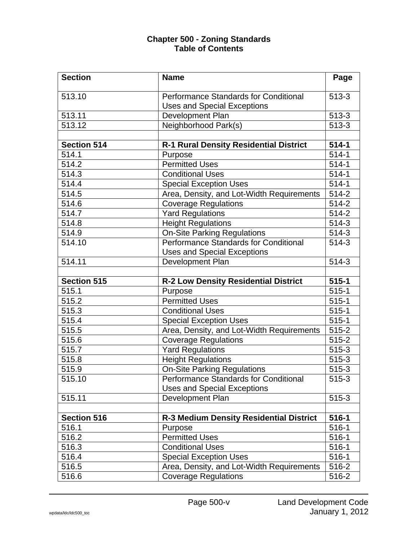| <b>Section</b>     | <b>Name</b>                                                                 | Page      |
|--------------------|-----------------------------------------------------------------------------|-----------|
| 513.10             | <b>Performance Standards for Conditional</b>                                | $513 - 3$ |
|                    | <b>Uses and Special Exceptions</b>                                          |           |
| 513.11             | Development Plan                                                            | $513-3$   |
| 513.12             | Neighborhood Park(s)                                                        | $513 - 3$ |
|                    |                                                                             |           |
| <b>Section 514</b> | <b>R-1 Rural Density Residential District</b>                               | $514 - 1$ |
| 514.1              | Purpose                                                                     | $514-1$   |
| 514.2              | <b>Permitted Uses</b>                                                       | $514 - 1$ |
| 514.3              | <b>Conditional Uses</b>                                                     | $514-1$   |
| 514.4              | <b>Special Exception Uses</b>                                               | $514-1$   |
| 514.5              | Area, Density, and Lot-Width Requirements                                   | 514-2     |
| 514.6              | <b>Coverage Regulations</b>                                                 | 514-2     |
| 514.7              | <b>Yard Regulations</b>                                                     | $514 - 2$ |
| 514.8              | <b>Height Regulations</b>                                                   | $514-3$   |
| 514.9              | <b>On-Site Parking Regulations</b>                                          | $514-3$   |
| 514.10             | Performance Standards for Conditional                                       | 514-3     |
|                    | <b>Uses and Special Exceptions</b>                                          |           |
| 514.11             | Development Plan                                                            | $514-3$   |
|                    |                                                                             |           |
|                    |                                                                             |           |
| Section 515        | <b>R-2 Low Density Residential District</b>                                 | $515 - 1$ |
| 515.1              | Purpose                                                                     | $515-1$   |
| 515.2              | <b>Permitted Uses</b>                                                       | $515 - 1$ |
| 515.3              | <b>Conditional Uses</b>                                                     | $515-1$   |
| 515.4              | <b>Special Exception Uses</b>                                               | $515-1$   |
| 515.5              | Area, Density, and Lot-Width Requirements                                   | $515 - 2$ |
| 515.6              |                                                                             | $515 - 2$ |
| 515.7              | <b>Coverage Regulations</b><br><b>Yard Regulations</b>                      | $515-3$   |
| 515.8              | <b>Height Regulations</b>                                                   | $515-3$   |
| 515.9              |                                                                             | 515-3     |
| 515.10             | <b>On-Site Parking Regulations</b>                                          | 515-3     |
|                    | Performance Standards for Conditional<br><b>Uses and Special Exceptions</b> |           |
| 515.11             | Development Plan                                                            | $515 - 3$ |
|                    |                                                                             |           |
| <b>Section 516</b> | <b>R-3 Medium Density Residential District</b>                              | $516 - 1$ |
| 516.1              | Purpose                                                                     | $516 - 1$ |
| 516.2              | <b>Permitted Uses</b>                                                       | $516-1$   |
| 516.3              | <b>Conditional Uses</b>                                                     | $516 - 1$ |
| 516.4              | <b>Special Exception Uses</b>                                               | $516-1$   |
| 516.5              | Area, Density, and Lot-Width Requirements                                   | 516-2     |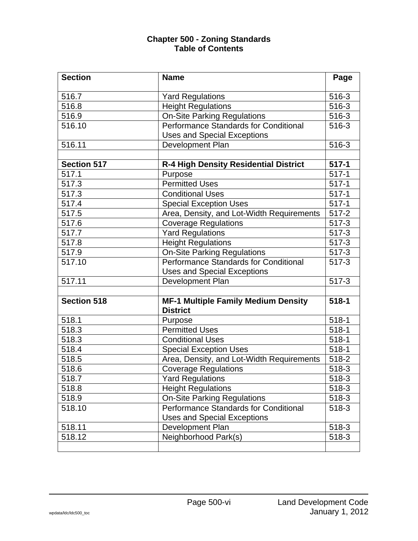| <b>Section</b>     | <b>Name</b>                                                   | Page      |
|--------------------|---------------------------------------------------------------|-----------|
| 516.7              | <b>Yard Regulations</b>                                       | 516-3     |
| 516.8              | <b>Height Regulations</b>                                     | 516-3     |
| 516.9              | <b>On-Site Parking Regulations</b>                            | 516-3     |
| 516.10             | Performance Standards for Conditional                         | 516-3     |
|                    | <b>Uses and Special Exceptions</b>                            |           |
| 516.11             | Development Plan                                              | 516-3     |
|                    |                                                               |           |
| <b>Section 517</b> | R-4 High Density Residential District                         | $517 - 1$ |
| 517.1              | Purpose                                                       | $517 - 1$ |
| 517.3              | <b>Permitted Uses</b>                                         | $517-1$   |
| 517.3              | <b>Conditional Uses</b>                                       | $517-1$   |
| 517.4              | <b>Special Exception Uses</b>                                 | $517 - 1$ |
| 517.5              | Area, Density, and Lot-Width Requirements                     | 517-2     |
| 517.6              | <b>Coverage Regulations</b>                                   | $517 - 3$ |
| 517.7              | <b>Yard Regulations</b>                                       | $517 - 3$ |
| 517.8              | <b>Height Regulations</b>                                     | $517-3$   |
| 517.9              | <b>On-Site Parking Regulations</b>                            | $517-3$   |
| 517.10             | Performance Standards for Conditional                         | $517 - 3$ |
|                    | <b>Uses and Special Exceptions</b>                            |           |
| 517.11             | Development Plan                                              | $517 - 3$ |
|                    |                                                               |           |
| <b>Section 518</b> | <b>MF-1 Multiple Family Medium Density</b><br><b>District</b> | $518 - 1$ |
| 518.1              | Purpose                                                       | $518 - 1$ |
| 518.3              | <b>Permitted Uses</b>                                         | $518 - 1$ |
| 518.3              | <b>Conditional Uses</b>                                       | $518-1$   |
| 518.4              | <b>Special Exception Uses</b>                                 | $518 - 1$ |
| 518.5              | Area, Density, and Lot-Width Requirements                     | 518-2     |
| 518.6              | <b>Coverage Regulations</b>                                   | 518-3     |
| 518.7              | <b>Yard Regulations</b>                                       | $518-3$   |
| 518.8              | <b>Height Regulations</b>                                     | 518-3     |
| 518.9              | <b>On-Site Parking Regulations</b>                            | 518-3     |
| 518.10             | <b>Performance Standards for Conditional</b>                  | 518-3     |
|                    | <b>Uses and Special Exceptions</b>                            |           |
| 518.11             | Development Plan                                              | 518-3     |
| 518.12             | Neighborhood Park(s)                                          | 518-3     |
|                    |                                                               |           |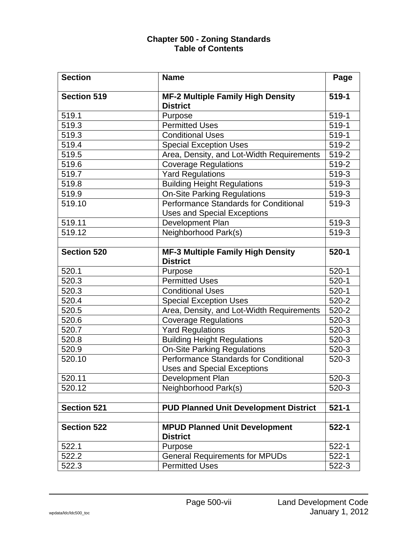| <b>Section</b>     | <b>Name</b>                                                                 | Page      |
|--------------------|-----------------------------------------------------------------------------|-----------|
| <b>Section 519</b> | <b>MF-2 Multiple Family High Density</b><br><b>District</b>                 | 519-1     |
| 519.1              | Purpose                                                                     | 519-1     |
| 519.3              | <b>Permitted Uses</b>                                                       | 519-1     |
| 519.3              | <b>Conditional Uses</b>                                                     | 519-1     |
| 519.4              | <b>Special Exception Uses</b>                                               | 519-2     |
| 519.5              | Area, Density, and Lot-Width Requirements                                   | 519-2     |
| 519.6              | <b>Coverage Regulations</b>                                                 | 519-2     |
| 519.7              | <b>Yard Regulations</b>                                                     | 519-3     |
| 519.8              | <b>Building Height Regulations</b>                                          | 519-3     |
| 519.9              | <b>On-Site Parking Regulations</b>                                          | 519-3     |
| 519.10             | Performance Standards for Conditional<br><b>Uses and Special Exceptions</b> | 519-3     |
| 519.11             | Development Plan                                                            | 519-3     |
| 519.12             | Neighborhood Park(s)                                                        | 519-3     |
|                    |                                                                             |           |
| <b>Section 520</b> | MF-3 Multiple Family High Density<br><b>District</b>                        | $520 - 1$ |
| 520.1              | Purpose                                                                     | $520-1$   |
| 520.3              | <b>Permitted Uses</b>                                                       | $520-1$   |
| 520.3              | <b>Conditional Uses</b>                                                     | $520-1$   |
| 520.4              | <b>Special Exception Uses</b>                                               | $520 - 2$ |
| 520.5              | Area, Density, and Lot-Width Requirements                                   | $520 - 2$ |
| 520.6              | <b>Coverage Regulations</b>                                                 | $520-3$   |
| 520.7              | <b>Yard Regulations</b>                                                     | $520-3$   |
| 520.8              | <b>Building Height Regulations</b>                                          | $520-3$   |
| 520.9              | <b>On-Site Parking Regulations</b>                                          | 520-3     |
| 520.10             | Performance Standards for Conditional<br><b>Uses and Special Exceptions</b> | $520-3$   |
| 520.11             | Development Plan                                                            | $520-3$   |
| 520.12             | Neighborhood Park(s)                                                        | 520-3     |
|                    |                                                                             |           |
| <b>Section 521</b> | <b>PUD Planned Unit Development District</b>                                | $521 - 1$ |
| <b>Section 522</b> | <b>MPUD Planned Unit Development</b><br><b>District</b>                     | $522 - 1$ |
| 522.1              | Purpose                                                                     | $522 - 1$ |
| 522.2              | <b>General Requirements for MPUDs</b>                                       | $522 - 1$ |
| 522.3              | <b>Permitted Uses</b>                                                       | $522 - 3$ |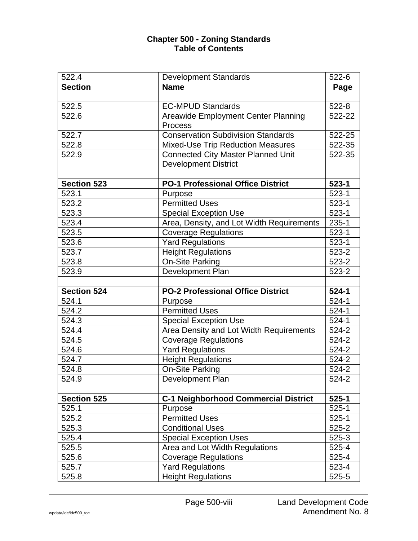| 522.4              | <b>Development Standards</b>                | 522-6     |
|--------------------|---------------------------------------------|-----------|
| <b>Section</b>     | <b>Name</b>                                 | Page      |
|                    |                                             |           |
| 522.5              | <b>EC-MPUD Standards</b>                    | $522 - 8$ |
| 522.6              | <b>Areawide Employment Center Planning</b>  | 522-22    |
|                    | <b>Process</b>                              |           |
| 522.7              | <b>Conservation Subdivision Standards</b>   | 522-25    |
| 522.8              | <b>Mixed-Use Trip Reduction Measures</b>    | 522-35    |
| 522.9              | <b>Connected City Master Planned Unit</b>   | 522-35    |
|                    | <b>Development District</b>                 |           |
|                    |                                             |           |
| <b>Section 523</b> | <b>PO-1 Professional Office District</b>    | $523 - 1$ |
| 523.1              | Purpose                                     | $523 - 1$ |
| 523.2              | <b>Permitted Uses</b>                       | $523 - 1$ |
| 523.3              | <b>Special Exception Use</b>                | $523 - 1$ |
| 523.4              | Area, Density, and Lot Width Requirements   | $235 - 1$ |
| 523.5              | <b>Coverage Regulations</b>                 | $523-1$   |
| 523.6              | <b>Yard Regulations</b>                     | $523 - 1$ |
| 523.7              | <b>Height Regulations</b>                   | $523 - 2$ |
| 523.8              | On-Site Parking                             | $523 - 2$ |
| 523.9              | Development Plan                            | $523 - 2$ |
|                    |                                             |           |
| <b>Section 524</b> | <b>PO-2 Professional Office District</b>    | $524 - 1$ |
| 524.1              | Purpose                                     | $524-1$   |
| 524.2              | <b>Permitted Uses</b>                       | $524-1$   |
| 524.3              | <b>Special Exception Use</b>                | $524-1$   |
| 524.4              | Area Density and Lot Width Requirements     | $524 - 2$ |
| 524.5              | <b>Coverage Regulations</b>                 | 524-2     |
| 524.6              | <b>Yard Regulations</b>                     | 524-2     |
| 524.7              | <b>Height Regulations</b>                   | 524-2     |
| 524.8              | <b>On-Site Parking</b>                      | 524-2     |
| 524.9              | Development Plan                            | 524-2     |
|                    |                                             |           |
| <b>Section 525</b> | <b>C-1 Neighborhood Commercial District</b> | $525 - 1$ |
| 525.1              | Purpose                                     | $525 - 1$ |
| 525.2              | <b>Permitted Uses</b>                       | $525 - 1$ |
| 525.3              | <b>Conditional Uses</b>                     | $525 - 2$ |
| 525.4              | <b>Special Exception Uses</b>               | $525-3$   |
| 525.5              | Area and Lot Width Regulations              | 525-4     |
| 525.6              | <b>Coverage Regulations</b>                 | 525-4     |
| 525.7              | <b>Yard Regulations</b>                     | 523-4     |
| 525.8              | <b>Height Regulations</b>                   | 525-5     |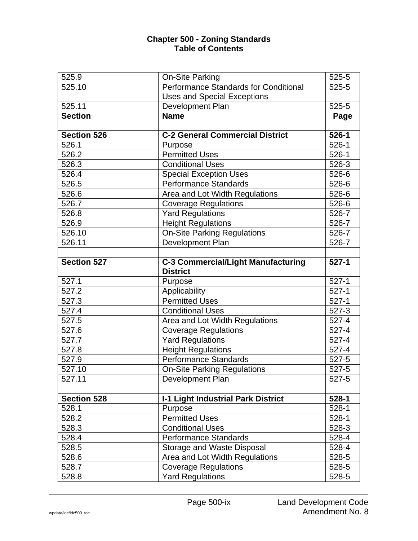| 525.9              | On-Site Parking                                              | 525-5     |
|--------------------|--------------------------------------------------------------|-----------|
| 525.10             | <b>Performance Standards for Conditional</b>                 | $525 - 5$ |
|                    | Uses and Special Exceptions                                  |           |
| 525.11             | Development Plan                                             | 525-5     |
| <b>Section</b>     | <b>Name</b>                                                  | Page      |
| <b>Section 526</b> | <b>C-2 General Commercial District</b>                       | $526 - 1$ |
| 526.1              | Purpose                                                      | $526-1$   |
| 526.2              | <b>Permitted Uses</b>                                        | $526-1$   |
| 526.3              | <b>Conditional Uses</b>                                      | 526-3     |
| 526.4              | <b>Special Exception Uses</b>                                | $526 - 6$ |
| 526.5              | <b>Performance Standards</b>                                 | 526-6     |
| 526.6              | Area and Lot Width Regulations                               | 526-6     |
| 526.7              | <b>Coverage Regulations</b>                                  | 526-6     |
| 526.8              | <b>Yard Regulations</b>                                      | 526-7     |
| 526.9              | <b>Height Regulations</b>                                    | 526-7     |
| 526.10             | <b>On-Site Parking Regulations</b>                           | 526-7     |
| 526.11             | Development Plan                                             | 526-7     |
|                    |                                                              |           |
| <b>Section 527</b> | <b>C-3 Commercial/Light Manufacturing</b><br><b>District</b> | $527-1$   |
| 527.1              | Purpose                                                      | $527-1$   |
| 527.2              | Applicability                                                | $527-1$   |
| 527.3              | <b>Permitted Uses</b>                                        | $527-1$   |
| 527.4              | <b>Conditional Uses</b>                                      | $527 - 3$ |
| 527.5              | Area and Lot Width Regulations                               | $527 - 4$ |
| 527.6              | <b>Coverage Regulations</b>                                  | $527 - 4$ |
| 527.7              | <b>Yard Regulations</b>                                      | $527 - 4$ |
| 527.8              | <b>Height Regulations</b>                                    | 527-4     |
| 527.9              | <b>Performance Standards</b>                                 | 527-5     |
| 527.10             | <b>On-Site Parking Regulations</b>                           | $527 - 5$ |
| 527.11             | Development Plan                                             | 527-5     |
|                    |                                                              |           |
| <b>Section 528</b> | <b>I-1 Light Industrial Park District</b>                    | $528 - 1$ |
| 528.1              | Purpose                                                      | $528-1$   |
| 528.2              | <b>Permitted Uses</b>                                        | $528-1$   |
| 528.3              | <b>Conditional Uses</b>                                      | 528-3     |
| 528.4              | <b>Performance Standards</b>                                 | 528-4     |
| 528.5              | Storage and Waste Disposal                                   | 528-4     |
| 528.6              | Area and Lot Width Regulations                               | 528-5     |
| 528.7              | <b>Coverage Regulations</b>                                  | 528-5     |
| 528.8              | <b>Yard Regulations</b>                                      | 528-5     |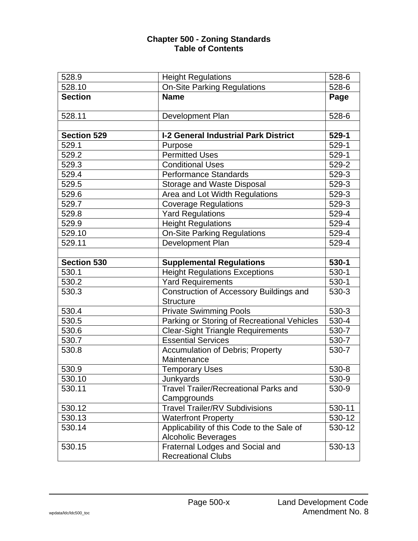| 528.9              | <b>Height Regulations</b>                    | 528-6              |
|--------------------|----------------------------------------------|--------------------|
| 528.10             | <b>On-Site Parking Regulations</b>           | 528-6              |
| <b>Section</b>     | <b>Name</b>                                  | Page               |
|                    |                                              |                    |
| 528.11             | Development Plan                             | 528-6              |
|                    |                                              |                    |
| <b>Section 529</b> | <b>I-2 General Industrial Park District</b>  | 529-1              |
| 529.1              | Purpose                                      | $529-1$            |
| 529.2              | <b>Permitted Uses</b>                        | 529-1              |
| 529.3              | <b>Conditional Uses</b>                      | 529-2              |
| 529.4              | <b>Performance Standards</b>                 | 529-3              |
| 529.5              | <b>Storage and Waste Disposal</b>            | 529-3              |
| 529.6              | Area and Lot Width Regulations               | 529-3              |
| 529.7              | <b>Coverage Regulations</b>                  | 529-3              |
| 529.8              | <b>Yard Regulations</b>                      | 529-4              |
| 529.9              | <b>Height Regulations</b>                    | 529-4              |
| 529.10             | <b>On-Site Parking Regulations</b>           | 529-4              |
| 529.11             | Development Plan                             | 529-4              |
|                    |                                              |                    |
| <b>Section 530</b> | <b>Supplemental Regulations</b>              | 530-1              |
| 530.1              | <b>Height Regulations Exceptions</b>         | $530-1$            |
| 530.2              | <b>Yard Requirements</b>                     | $530-1$            |
| 530.3              | Construction of Accessory Buildings and      | 530-3              |
|                    | <b>Structure</b>                             |                    |
| 530.4              | <b>Private Swimming Pools</b>                | 530-3              |
| 530.5              | Parking or Storing of Recreational Vehicles  | 530-4              |
| 530.6              | <b>Clear-Sight Triangle Requirements</b>     | 530-7              |
| 530.7              | <b>Essential Services</b>                    | 530-7              |
| 530.8              | <b>Accumulation of Debris; Property</b>      | 530-7              |
|                    | Maintenance                                  |                    |
| 530.9              | <b>Temporary Uses</b>                        | 530-8              |
| 530.10             | Junkyards                                    | $\overline{5}30-9$ |
| 530.11             | <b>Travel Trailer/Recreational Parks and</b> | 530-9              |
|                    | Campgrounds                                  |                    |
| 530.12             | <b>Travel Trailer/RV Subdivisions</b>        | 530-11             |
| 530.13             | <b>Waterfront Property</b>                   | 530-12             |
| 530.14             | Applicability of this Code to the Sale of    | 530-12             |
|                    | <b>Alcoholic Beverages</b>                   |                    |
| 530.15             | Fraternal Lodges and Social and              | 530-13             |
|                    | <b>Recreational Clubs</b>                    |                    |